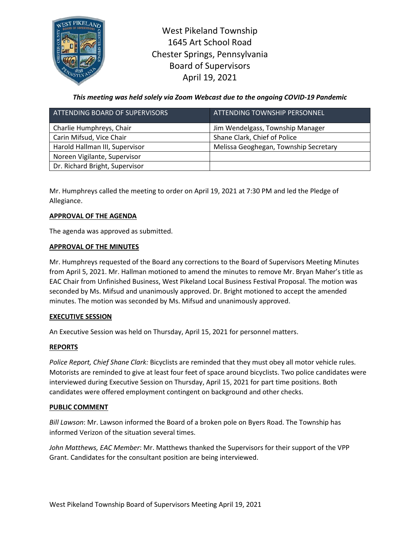

West Pikeland Township 1645 Art School Road Chester Springs, Pennsylvania Board of Supervisors April 19, 2021

*This meeting was held solely via Zoom Webcast due to the ongoing COVID-19 Pandemic*

| ATTENDING BOARD OF SUPERVISORS | ATTENDING TOWNSHIP PERSONNEL          |
|--------------------------------|---------------------------------------|
| Charlie Humphreys, Chair       | Jim Wendelgass, Township Manager      |
| Carin Mifsud, Vice Chair       | Shane Clark, Chief of Police          |
| Harold Hallman III, Supervisor | Melissa Geoghegan, Township Secretary |
| Noreen Vigilante, Supervisor   |                                       |
| Dr. Richard Bright, Supervisor |                                       |

Mr. Humphreys called the meeting to order on April 19, 2021 at 7:30 PM and led the Pledge of Allegiance.

# **APPROVAL OF THE AGENDA**

The agenda was approved as submitted.

## **APPROVAL OF THE MINUTES**

Mr. Humphreys requested of the Board any corrections to the Board of Supervisors Meeting Minutes from April 5, 2021. Mr. Hallman motioned to amend the minutes to remove Mr. Bryan Maher's title as EAC Chair from Unfinished Business, West Pikeland Local Business Festival Proposal. The motion was seconded by Ms. Mifsud and unanimously approved. Dr. Bright motioned to accept the amended minutes. The motion was seconded by Ms. Mifsud and unanimously approved.

### **EXECUTIVE SESSION**

An Executive Session was held on Thursday, April 15, 2021 for personnel matters.

### **REPORTS**

*Police Report, Chief Shane Clark:* Bicyclists are reminded that they must obey all motor vehicle rules. Motorists are reminded to give at least four feet of space around bicyclists. Two police candidates were interviewed during Executive Session on Thursday, April 15, 2021 for part time positions. Both candidates were offered employment contingent on background and other checks.

### **PUBLIC COMMENT**

*Bill Lawson*: Mr. Lawson informed the Board of a broken pole on Byers Road. The Township has informed Verizon of the situation several times.

*John Matthews, EAC Member*: Mr. Matthews thanked the Supervisors for their support of the VPP Grant. Candidates for the consultant position are being interviewed.